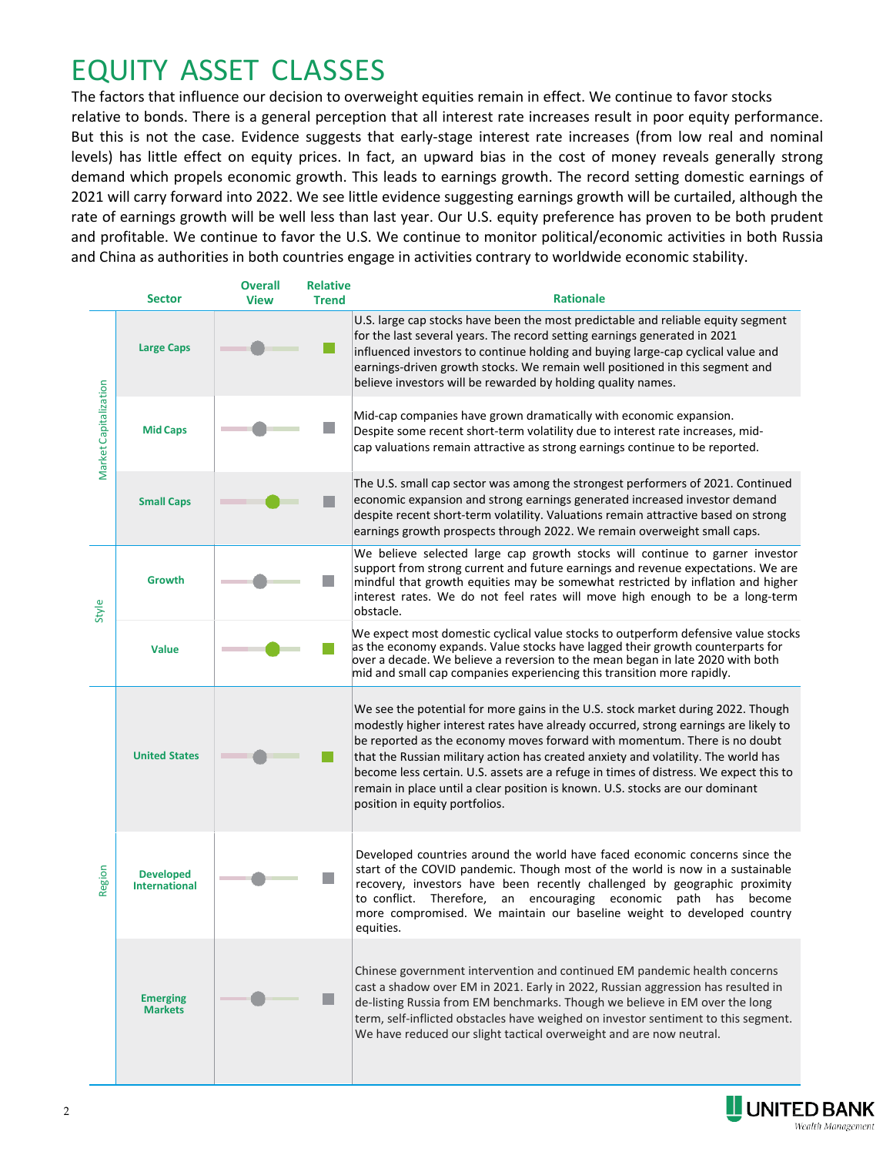# EQUITY ASSET CLASSES

We continue to favor stocks relative to bonds despite the recent volatility. There is a general perception that all interest rate increases result in poor equity performance. But this is not the case. Evidence suggests that earlystage interest rate increases (from low real and nominal levels) has only a relatively minor short-term effect on equity prices, and no long-term effect. In fact, an upward bias in the cost of money reveals generally strong demand which propels economic growth. This leads to earnings growth. The record setting domestic earnings of 2021 will carry forward into 2022. We see little evidence suggesting earnings growth will be curtailed, although the rate of earnings growth will be well less than last year. Our U.S. equity preference has proven to be both prudent and profitable. We continue to favor the U.S. We continue to monitor political/economic activities in both Russia and China as authorities in both countries engage in activities contrary to worldwide economic stability.

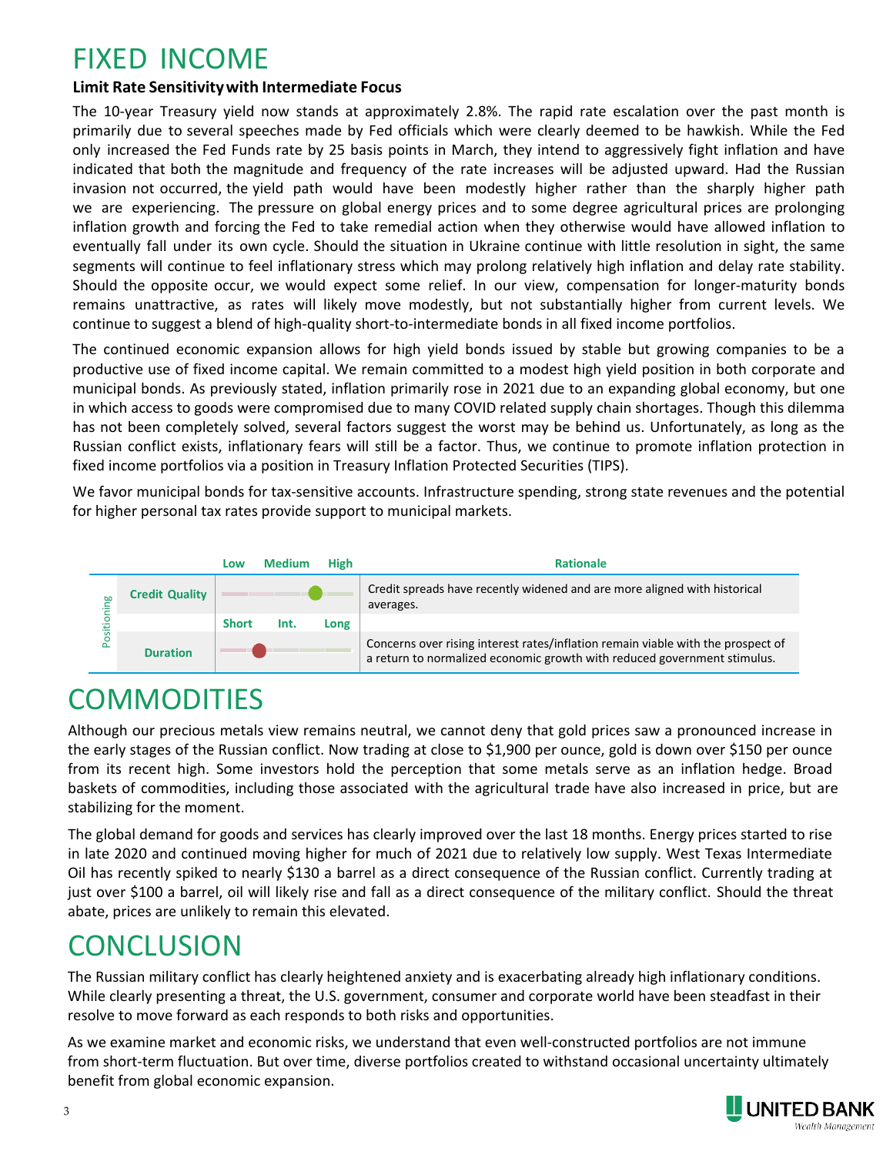## FIXED INCOME

#### **Limit Rate Sensitivity with Intermediate Focus**

The rapid escalation of interest rates over the past several months is clearly due to policy changes within the Fed. While they have now increased the Fed Funds rate twice, by a total of 75 basis points, they intend to aggressively fight inflation and have indicated that further rate increases will occur. Had the Russian invasion not occurred, the yield path would have been modestly higher rather than the sharply higher path we are experiencing. The pressure on global energy prices, and to some degree agricultural prices, are prolonging elevated inflation and forcing the Fed to take remedial action. They likely otherwise would have allowed inflation to eventually fall under its own cycle as supply catches up with demand. Should the situation in Ukraine continue with little resolution in sight, the same segments will continue to feel stress which may prolong relatively high inflation and delay rate stability. Should the opposite occur, we would expect some relief. In our view, compensation for longer-maturity bonds remains unattractive, as rates will likely move modestly, but not substantially higher from current levels. We continue to suggest a blend of high-quality short-to-intermediate bonds in all fixed income portfolios.

The continued economic expansion allows for high yield bonds issued by stable but growing companies to be a productive use of fixed income capital. We remain committed to a modest high yield position in both corporate and municipal bonds. As previously stated, inflation primarily rose in 2021 due to an expanding global economy, but one in which access to goods were compromised due to many COVID related supply chain shortages. Though this dilemma has not been completely solved, several factors suggest the worst may be behind us. Unfortunately, as long as the Russian conflict exists, inflationary fears will remain. Thus, we continue to promote inflation protection in fixed income portfolios via a position in Treasury Inflation Protected Securities (TIPS).

We favor municipal bonds for tax-sensitive accounts. Infrastructure spending, strong state revenues and the potential for higher personal tax rates provide support to municipal markets.



# **COMMODITIES**

Our precious metals view remains neutral. Gold prices saw a pronounced increase in the early stages of the Russian conflict but have given back all gains. Trading at \$1850 per ounce, gold is now trading at pre-invasion levels. Broad baskets of commodities, including those associated with the agricultural trade have also increased in price, but are stabilizing for the moment.

The global demand for goods and services has clearly improved over the last 18 months. Energy prices started to rise in late 2020 and continued moving higher for much of 2021 due to relatively low supply. West Texas Intermediate Oil spiked to nearly \$130 a barrel as a direct consequence of the Russian conflict. Currently trading at just over \$110 a barrel, oil will likely rise and fall as a direct consequence of the military conflict. Should the threat abate, prices are unlikely to remain this elevated. benefit from expansion. But also the magnitude of the metals view remains conflict but have given back all gebaskets of commodities, including stabilizing for the moment. The global demand for goods and in late 2020 and co

#### **CONCLUSION**

The Russian military conflict has clearly heightened anxiety and is exacerbating already high inflationary conditions. But much of the recent volatility is due to rising interest rates and uncertainty over Federal Reserve policy. Though the U.S. consumer and corporate world has been steadfast in their resolve to move forward, investors have turned wary as both the magnitude and velocity of interest rate changes were not fully expected.

As we examine market and economic risks, we understand that even well-constructed portfolios are not immune from short-term fluctuation. But over time, diverse portfolios created to withstand occasional uncertainty ultimately